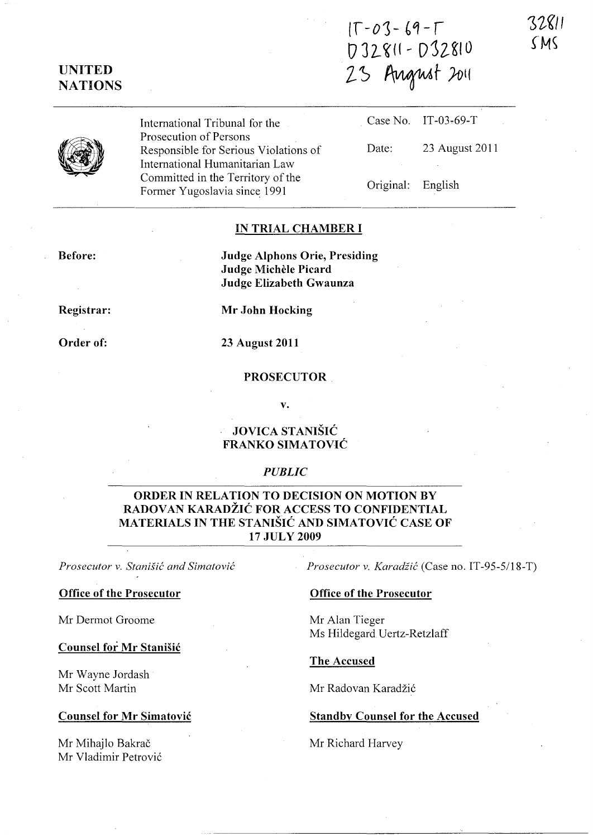$IT - O3 - 69 - T$  $D 32811 - D 32810$ 23 August 2011



UNITED **NATIONS** 

> International Tribunal for the Prosecution of Persons Responsible for Serious Violations of International Humanitarian Law Committed in the Territory of the Former Yugoslavia since 1991

Case No. IT-03~69-T Date: 23 August 2011

Original: English

#### IN TRIAL CHAMBER I

Before:

Judge Alphons Orie, Presiding Judge Michele Picard Judge Elizabeth Gwaunza

Registrar:

Order of:

23 August 2011

Mr John Hocking

#### PROSECUTOR

v.

# JOVICA STANISIC FRANKO SIMATOVIC

# *PUBLIC*

# ORDER IN RELATION TO DECISION ON MOTION BY RADOVAN KARADŽIĆ FOR ACCESS TO CONFIDENTIAL MATERIALS IN THE STANISIC AND SIMATOVIC CASE OF 17 JULY 2009

*Prosecutor v. Stanisic and Simatovic* 

#### Office of the Prosecutor

Mr Dermot Groome

### Counsel for Mr Stanisic

Mr Wayne Jordash Mr Scott Martin

## Counsel for Mr Simatovic

Mr Mihajlo Bakrač Mr V1adimir Petrovi6 *Prosecutor v. Karadiic* (Case no. IT-95-5/18-T)

### Office of the Prosecutor

Mr Alan Tieger Ms Hildegard Uertz-Retzlaff

The Accused

Mr Radovan Karadžić

### **Standby Counsel for the Accused**

Mr Richard Harvey